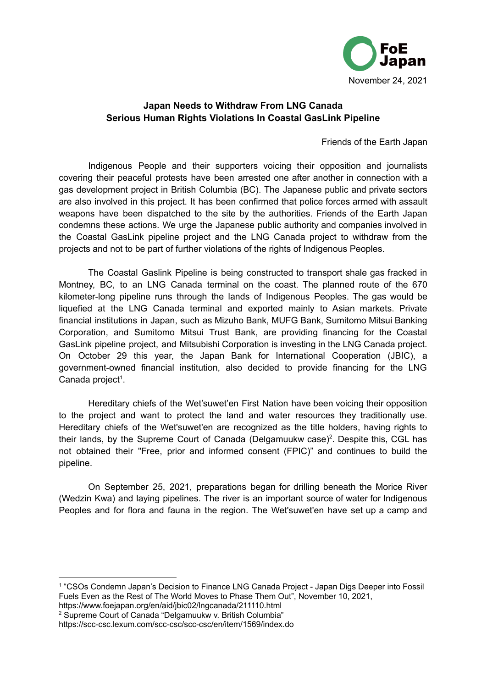

## **Japan Needs to Withdraw From LNG Canada Serious Human Rights Violations In Coastal GasLink Pipeline**

Friends of the Earth Japan

Indigenous People and their supporters voicing their opposition and journalists covering their peaceful protests have been arrested one after another in connection with a gas development project in British Columbia (BC). The Japanese public and private sectors are also involved in this project. It has been confirmed that police forces armed with assault weapons have been dispatched to the site by the authorities. Friends of the Earth Japan condemns these actions. We urge the Japanese public authority and companies involved in the Coastal GasLink pipeline project and the LNG Canada project to withdraw from the projects and not to be part of further violations of the rights of Indigenous Peoples.

The Coastal Gaslink Pipeline is being constructed to transport shale gas fracked in Montney, BC, to an LNG Canada terminal on the coast. The planned route of the 670 kilometer-long pipeline runs through the lands of Indigenous Peoples. The gas would be liquefied at the LNG Canada terminal and exported mainly to Asian markets. Private financial institutions in Japan, such as Mizuho Bank, MUFG Bank, Sumitomo Mitsui Banking Corporation, and Sumitomo Mitsui Trust Bank, are providing financing for the Coastal GasLink pipeline project, and Mitsubishi Corporation is investing in the LNG Canada project. On October 29 this year, the Japan Bank for International Cooperation (JBIC), a government-owned financial institution, also decided to provide financing for the LNG Canada project<sup>1</sup>.

Hereditary chiefs of the Wet'suwet'en First Nation have been voicing their opposition to the project and want to protect the land and water resources they traditionally use. Hereditary chiefs of the Wet'suwet'en are recognized as the title holders, having rights to their lands, by the Supreme Court of Canada (Delgamuukw case)<sup>2</sup>. Despite this, CGL has not obtained their "Free, prior and informed consent (FPIC)" and continues to build the pipeline.

On September 25, 2021, preparations began for drilling beneath the Morice River (Wedzin Kwa) and laying pipelines. The river is an important source of water for Indigenous Peoples and for flora and fauna in the region. The Wet'suwet'en have set up a camp and

<sup>2</sup> Supreme Court of Canada "Delgamuukw v. British Columbia" https://www.foejapan.org/en/aid/jbic02/lngcanada/211110.html

<sup>1</sup> "CSOs Condemn Japan's Decision to Finance LNG Canada Project - Japan Digs Deeper into Fossil Fuels Even as the Rest of The World Moves to Phase Them Out", November 10, 2021,

https://scc-csc.lexum.com/scc-csc/scc-csc/en/item/1569/index.do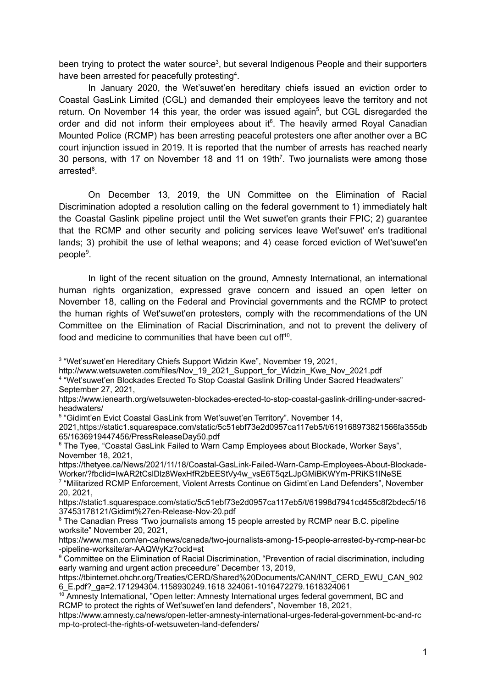been trying to protect the water source<sup>3</sup>, but several Indigenous People and their supporters have been arrested for peacefully protesting<sup>4</sup>.

In January 2020, the Wet'suwet'en hereditary chiefs issued an eviction order to Coastal GasLink Limited (CGL) and demanded their employees leave the territory and not return. On November 14 this year, the order was issued again<sup>5</sup>, but CGL disregarded the order and did not inform their employees about it<sup>6</sup>. The heavily armed Royal Canadian Mounted Police (RCMP) has been arresting peaceful protesters one after another over a BC court injunction issued in 2019. It is reported that the number of arrests has reached nearly 30 persons, with 17 on November 18 and 11 on 19th<sup>7</sup>. Two journalists were among those arrested<sup>8</sup>.

On December 13, 2019, the UN Committee on the Elimination of Racial Discrimination adopted a resolution calling on the federal government to 1) immediately halt the Coastal Gaslink pipeline project until the Wet suwet'en grants their FPIC; 2) guarantee that the RCMP and other security and policing services leave Wet'suwet' en's traditional lands; 3) prohibit the use of lethal weapons; and 4) cease forced eviction of Wet'suwet'en people<sup>9</sup>.

In light of the recent situation on the ground, Amnesty International, an international human rights organization, expressed grave concern and issued an open letter on November 18, calling on the Federal and Provincial governments and the RCMP to protect the human rights of Wet'suwet'en protesters, comply with the recommendations of the UN Committee on the Elimination of Racial Discrimination, and not to prevent the delivery of food and medicine to communities that have been cut off<sup>10</sup>.

September 27, 2021,

<sup>5</sup> "Gidimt'en Evict Coastal GasLink from Wet'suwet'en Territory". November 14,

<sup>&</sup>lt;sup>3</sup> "Wet'suwet'en Hereditary Chiefs Support Widzin Kwe", November 19, 2021,

<sup>4</sup> "Wet'suwet'en Blockades Erected To Stop Coastal Gaslink Drilling Under Sacred Headwaters" http://www.wetsuweten.com/files/Nov\_19\_2021\_Support\_for\_Widzin\_Kwe\_Nov\_2021.pdf

https://www.ienearth.org/wetsuweten-blockades-erected-to-stop-coastal-gaslink-drilling-under-sacredheadwaters/

<sup>2021,</sup>https://static1.squarespace.com/static/5c51ebf73e2d0957ca117eb5/t/619168973821566fa355db 65/1636919447456/PressReleaseDay50.pdf

<sup>&</sup>lt;sup>6</sup> The Tyee, "Coastal GasLink Failed to Warn Camp Employees about Blockade, Worker Says", November 18, 2021,

https://thetyee.ca/News/2021/11/18/Coastal-GasLink-Failed-Warn-Camp-Employees-About-Blockade-Worker/?fbclid=IwAR2tCsIDIz8WexHfR2bEEStVy4w\_vsE6T5qzLJpGMiBKWYm-PRiKS1INeSE

<sup>7</sup> "Militarized RCMP Enforcement, Violent Arrests Continue on Gidimt'en Land Defenders", November 20, 2021,

https://static1.squarespace.com/static/5c51ebf73e2d0957ca117eb5/t/61998d7941cd455c8f2bdec5/16 37453178121/Gidimt%27en-Release-Nov-20.pdf

<sup>&</sup>lt;sup>8</sup> The Canadian Press "Two journalists among 15 people arrested by RCMP near B.C. pipeline worksite" November 20, 2021,

https://www.msn.com/en-ca/news/canada/two-journalists-among-15-people-arrested-by-rcmp-near-bc -pipeline-worksite/ar-AAQWyKz?ocid=st

<sup>&</sup>lt;sup>9</sup> Committee on the Elimination of Racial Discrimination, "Prevention of racial discrimination, including early warning and urgent action preceedure" December 13, 2019,

[https://tbinternet.ohchr.org/Treaties/CERD/Shared%20Documents/CAN/INT\\_CERD\\_EWU\\_CAN\\_902](https://tbinternet.ohchr.org/Treaties/CERD/Shared%20Documents/CAN/INT_CERD_EWU_CAN_9026_E.pdf?_ga=2.171294304.1158930249.1618%20324061-1016472279.1618324061) [6\\_E.pdf?\\_ga=2.171294304.1158930249.1618](https://tbinternet.ohchr.org/Treaties/CERD/Shared%20Documents/CAN/INT_CERD_EWU_CAN_9026_E.pdf?_ga=2.171294304.1158930249.1618%20324061-1016472279.1618324061) 324061-1016472279.1618324061

 $10$  Amnesty International, "Open letter: Amnesty International urges federal government, BC and RCMP to protect the rights of Wet'suwet'en land defenders", November 18, 2021,

https://www.amnesty.ca/news/open-letter-amnesty-international-urges-federal-government-bc-and-rc mp-to-protect-the-rights-of-wetsuweten-land-defenders/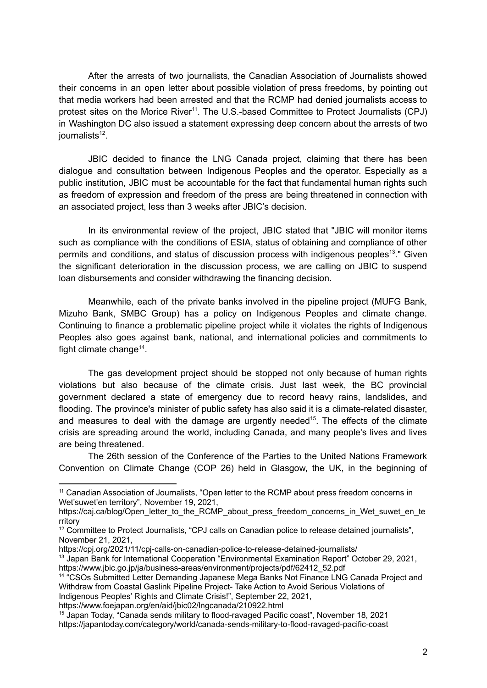After the arrests of two journalists, the Canadian Association of Journalists showed their concerns in an open letter about possible violation of press freedoms, by pointing out that media workers had been arrested and that the RCMP had denied journalists access to protest sites on the Morice River<sup>11</sup>. The U.S.-based Committee to Protect Journalists (CPJ) in Washington DC also issued a statement expressing deep concern about the arrests of two journalists<sup>12</sup>.

JBIC decided to finance the LNG Canada project, claiming that there has been dialogue and consultation between Indigenous Peoples and the operator. Especially as a public institution, JBIC must be accountable for the fact that fundamental human rights such as freedom of expression and freedom of the press are being threatened in connection with an associated project, less than 3 weeks after JBIC's decision.

In its environmental review of the project, JBIC stated that "JBIC will monitor items such as compliance with the conditions of ESIA, status of obtaining and compliance of other permits and conditions, and status of discussion process with indigenous peoples<sup>13</sup>." Given the significant deterioration in the discussion process, we are calling on JBIC to suspend loan disbursements and consider withdrawing the financing decision.

Meanwhile, each of the private banks involved in the pipeline project (MUFG Bank, Mizuho Bank, SMBC Group) has a policy on Indigenous Peoples and climate change. Continuing to finance a problematic pipeline project while it violates the rights of Indigenous Peoples also goes against bank, national, and international policies and commitments to fight climate change<sup>14</sup>.

The gas development project should be stopped not only because of human rights violations but also because of the climate crisis. Just last week, the BC provincial government declared a state of emergency due to record heavy rains, landslides, and flooding. The province's minister of public safety has also said it is a climate-related disaster, and measures to deal with the damage are urgently needed<sup>15</sup>. The effects of the climate crisis are spreading around the world, including Canada, and many people's lives and lives are being threatened.

The 26th session of the Conference of the Parties to the United Nations Framework Convention on Climate Change (COP 26) held in Glasgow, the UK, in the beginning of

https://www.foejapan.org/en/aid/jbic02/lngcanada/210922.html

<sup>&</sup>lt;sup>11</sup> Canadian Association of Journalists, "Open letter to the RCMP about press freedom concerns in Wet'suwet'en territory", November 19, 2021,

https://caj.ca/blog/Open\_letter\_to\_the\_RCMP\_about\_press\_freedom\_concerns\_in\_Wet\_suwet\_en\_te rritory

<sup>&</sup>lt;sup>12</sup> Committee to Protect Journalists, "CPJ calls on Canadian police to release detained journalists", November 21, 2021,

https://cpj.org/2021/11/cpj-calls-on-canadian-police-to-release-detained-journalists/

<sup>&</sup>lt;sup>13</sup> Japan Bank for International Cooperation "Environmental Examination Report" October 29, 2021, https://www.jbic.go.jp/ja/business-areas/environment/projects/pdf/62412\_52.pdf

<sup>&</sup>lt;sup>14</sup> "CSOs Submitted Letter Demanding Japanese Mega Banks Not Finance LNG Canada Project and Withdraw from Coastal Gaslink Pipeline Project- Take Action to Avoid Serious Violations of Indigenous Peoples' Rights and Climate Crisis!", September 22, 2021,

<sup>15</sup> Japan Today, "Canada sends military to flood-ravaged Pacific coast", November 18, 2021 https://japantoday.com/category/world/canada-sends-military-to-flood-ravaged-pacific-coast